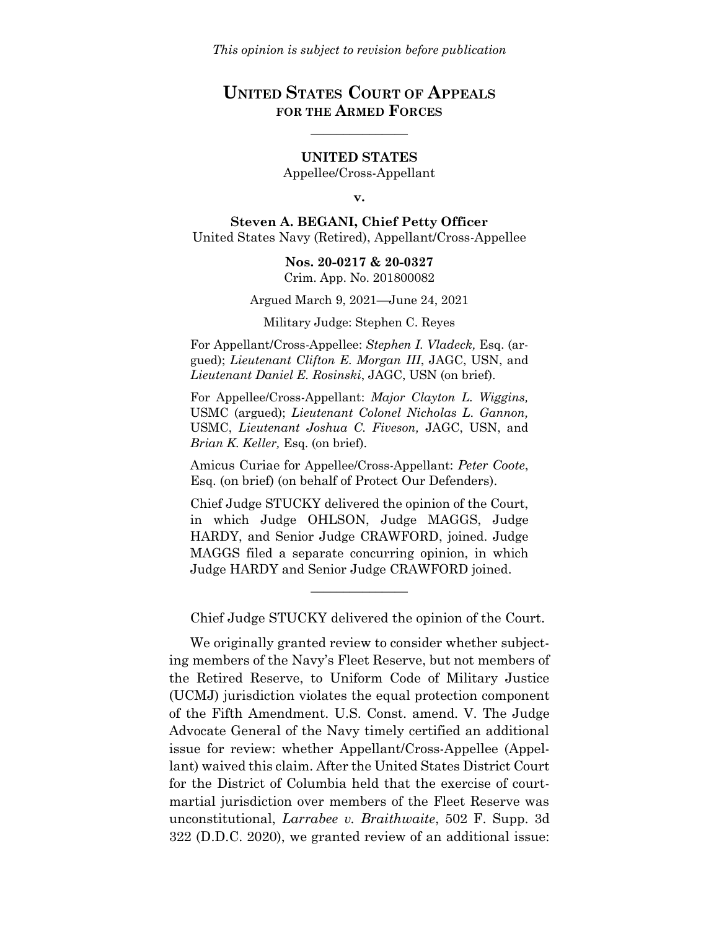# **UNITED STATES COURT OF APPEALS FOR THE ARMED FORCES**

 $\mathcal{L}$  , we have the set of  $\mathcal{L}$ 

#### **UNITED STATES**

Appellee/Cross-Appellant

#### **v.**

**Steven A. BEGANI, Chief Petty Officer** United States Navy (Retired), Appellant/Cross-Appellee

> **Nos. 20-0217 & 20-0327** Crim. App. No. 201800082

Argued March 9, 2021—June 24, 2021

Military Judge: Stephen C. Reyes

For Appellant/Cross-Appellee: *Stephen I. Vladeck,* Esq. (argued); *Lieutenant Clifton E. Morgan III*, JAGC, USN, and *Lieutenant Daniel E. Rosinski*, JAGC, USN (on brief).

For Appellee/Cross-Appellant: *Major Clayton L. Wiggins,*  USMC (argued); *Lieutenant Colonel Nicholas L. Gannon,*  USMC, *Lieutenant Joshua C. Fiveson,* JAGC, USN, and *Brian K. Keller,* Esq. (on brief).

Amicus Curiae for Appellee/Cross-Appellant: *Peter Coote*, Esq. (on brief) (on behalf of Protect Our Defenders).

Chief Judge STUCKY delivered the opinion of the Court, in which Judge OHLSON, Judge MAGGS, Judge HARDY, and Senior Judge CRAWFORD, joined. Judge MAGGS filed a separate concurring opinion, in which Judge HARDY and Senior Judge CRAWFORD joined.

\_\_\_\_\_\_\_\_\_\_\_\_\_\_\_

Chief Judge STUCKY delivered the opinion of the Court.

We originally granted review to consider whether subjecting members of the Navy's Fleet Reserve, but not members of the Retired Reserve, to Uniform Code of Military Justice (UCMJ) jurisdiction violates the equal protection component of the Fifth Amendment. U.S. Const. amend. V. The Judge Advocate General of the Navy timely certified an additional issue for review: whether Appellant/Cross-Appellee (Appellant) waived this claim. After the United States District Court for the District of Columbia held that the exercise of courtmartial jurisdiction over members of the Fleet Reserve was unconstitutional, *Larrabee v. Braithwaite*, 502 F. Supp. 3d 322 (D.D.C. 2020), we granted review of an additional issue: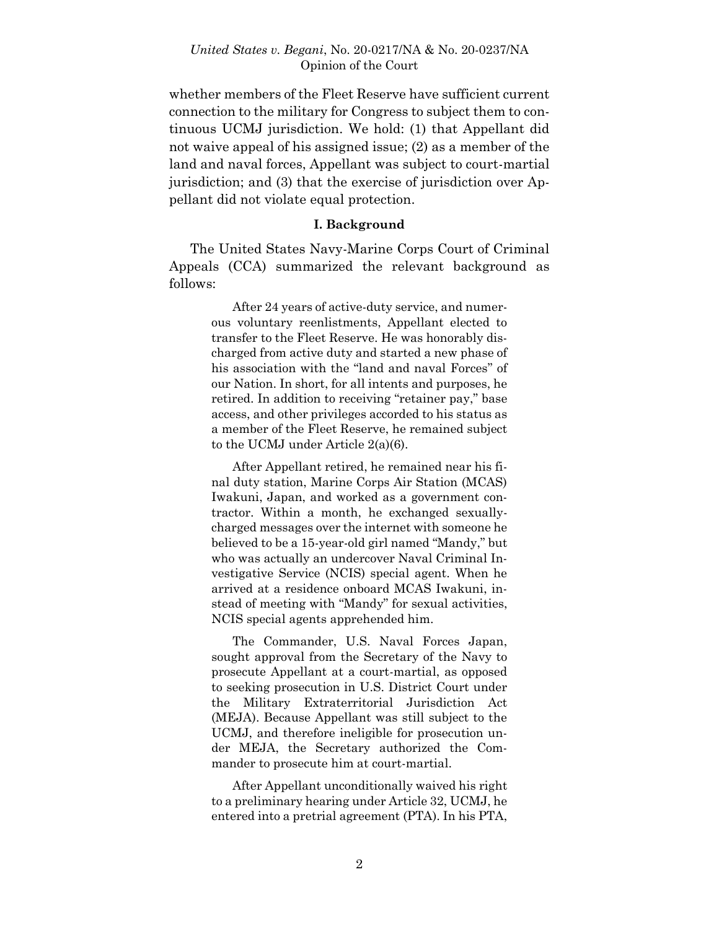whether members of the Fleet Reserve have sufficient current connection to the military for Congress to subject them to continuous UCMJ jurisdiction. We hold: (1) that Appellant did not waive appeal of his assigned issue; (2) as a member of the land and naval forces, Appellant was subject to court-martial jurisdiction; and (3) that the exercise of jurisdiction over Appellant did not violate equal protection.

#### **I. Background**

The United States Navy-Marine Corps Court of Criminal Appeals (CCA) summarized the relevant background as follows:

> After 24 years of active-duty service, and numerous voluntary reenlistments, Appellant elected to transfer to the Fleet Reserve. He was honorably discharged from active duty and started a new phase of his association with the "land and naval Forces" of our Nation. In short, for all intents and purposes, he retired. In addition to receiving "retainer pay," base access, and other privileges accorded to his status as a member of the Fleet Reserve, he remained subject to the UCMJ under Article 2(a)(6).

> After Appellant retired, he remained near his final duty station, Marine Corps Air Station (MCAS) Iwakuni, Japan, and worked as a government contractor. Within a month, he exchanged sexuallycharged messages over the internet with someone he believed to be a 15-year-old girl named "Mandy," but who was actually an undercover Naval Criminal Investigative Service (NCIS) special agent. When he arrived at a residence onboard MCAS Iwakuni, instead of meeting with "Mandy" for sexual activities, NCIS special agents apprehended him.

> The Commander, U.S. Naval Forces Japan, sought approval from the Secretary of the Navy to prosecute Appellant at a court-martial, as opposed to seeking prosecution in U.S. District Court under the Military Extraterritorial Jurisdiction Act (MEJA). Because Appellant was still subject to the UCMJ, and therefore ineligible for prosecution under MEJA, the Secretary authorized the Commander to prosecute him at court-martial.

> After Appellant unconditionally waived his right to a preliminary hearing under Article 32, UCMJ, he entered into a pretrial agreement (PTA). In his PTA,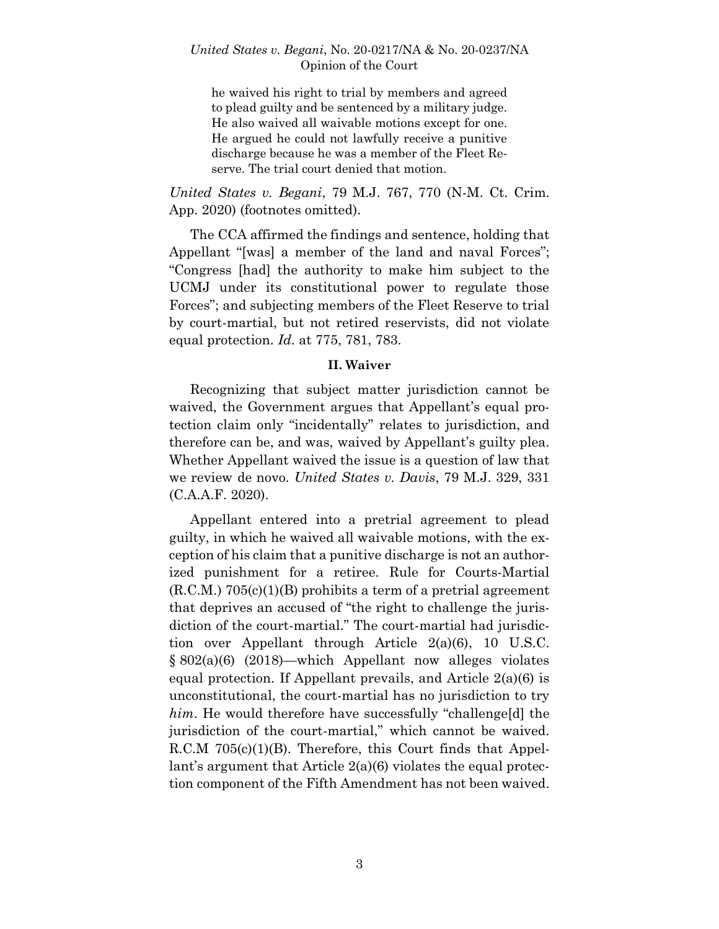he waived his right to trial by members and agreed to plead guilty and be sentenced by a military judge. He also waived all waivable motions except for one. He argued he could not lawfully receive a punitive discharge because he was a member of the Fleet Reserve. The trial court denied that motion.

*United States v. Begani*[, 79 M.J. 767, 770 \(N-M.](https://plus.lexis.com/api/document/collection/cases/id/5Y2V-S871-JKPJ-G45S-00000-00?page=770&reporter=2181&cite=79%20M.J.%20767&context=1530671) Ct. Crim. [App. 2020\)](https://plus.lexis.com/api/document/collection/cases/id/5Y2V-S871-JKPJ-G45S-00000-00?page=770&reporter=2181&cite=79%20M.J.%20767&context=1530671) (footnotes omitted).

The CCA affirmed the findings and sentence, holding that Appellant "[was] a member of the land and naval Forces"; "Congress [had] the authority to make him subject to the UCMJ under its constitutional power to regulate those Forces"; and subjecting members of the Fleet Reserve to trial by court-martial, but not retired reservists, did not violate equal protection. *Id.* at 775, 781, 783.

### **II. Waiver**

Recognizing that subject matter jurisdiction cannot be waived, the Government argues that Appellant's equal protection claim only "incidentally" relates to jurisdiction, and therefore can be, and was, waived by Appellant's guilty plea. Whether Appellant waived the issue is a question of law that we review de novo. *United States v. Davis*, 79 M.J. 329, 331 (C.A.A.F. 2020).

Appellant entered into a pretrial agreement to plead guilty, in which he waived all waivable motions, with the exception of his claim that a punitive discharge is not an authorized punishment for a retiree. Rule for Courts-Martial  $(R.C.M.)$  705 $(c)(1)(B)$  prohibits a term of a pretrial agreement that deprives an accused of "the right to challenge the jurisdiction of the court-martial." The court-martial had jurisdiction over Appellant through Article 2(a)(6), 10 U.S.C. § 802(a)(6) (2018)—which Appellant now alleges violates equal protection. If Appellant prevails, and Article 2(a)(6) is unconstitutional, the court-martial has no jurisdiction to try *him*. He would therefore have successfully "challenge<sup>[d]</sup> the jurisdiction of the court-martial," which cannot be waived. R.C.M 705(c)(1)(B). Therefore, this Court finds that Appellant's argument that Article 2(a)(6) violates the equal protection component of the Fifth Amendment has not been waived.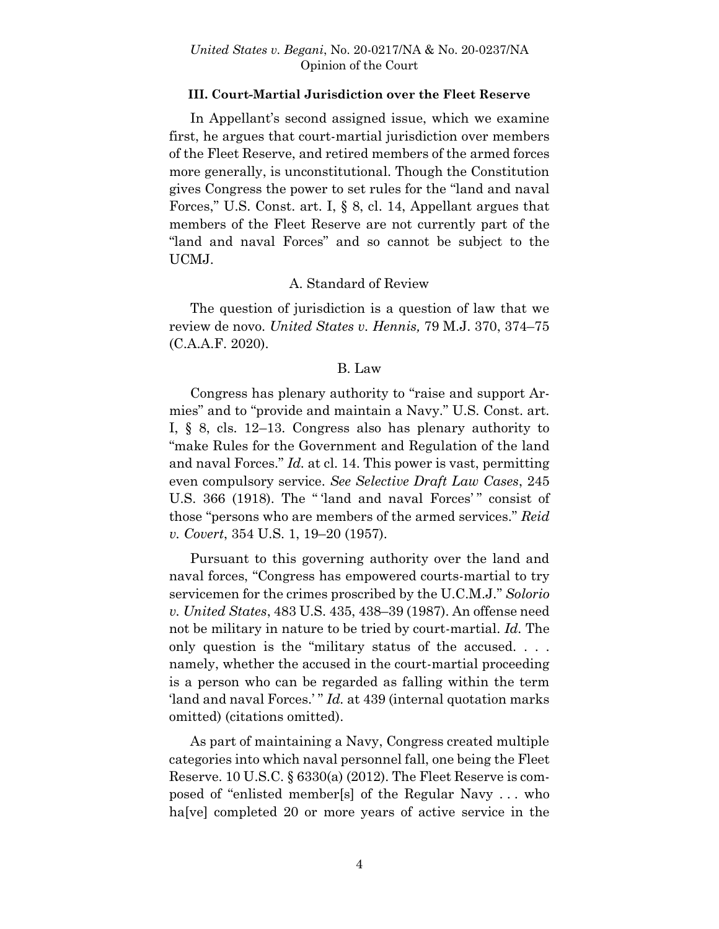### **III. Court-Martial Jurisdiction over the Fleet Reserve**

In Appellant's second assigned issue, which we examine first, he argues that court-martial jurisdiction over members of the Fleet Reserve, and retired members of the armed forces more generally, is unconstitutional. Though the Constitution gives Congress the power to set rules for the "land and naval Forces," U.S. Const. art. I, § 8, cl. 14, Appellant argues that members of the Fleet Reserve are not currently part of the "land and naval Forces" and so cannot be subject to the UCMJ.

## A. Standard of Review

The question of jurisdiction is a question of law that we review de novo. *United States v. Hennis,* 79 M.J. 370, 374–75 (C.A.A.F. 2020).

### B. Law

Congress has plenary authority to "raise and support Armies" and to "provide and maintain a Navy." U.S. Const. art. I, § 8, cls. 12–13. Congress also has plenary authority to "make Rules for the Government and Regulation of the land and naval Forces." *Id.* at cl. 14. This power is vast, permitting even compulsory service. *See Selective Draft Law Cases*, 245 U.S. 366 (1918). The " 'land and naval Forces' " consist of those "persons who are members of the armed services." *Reid v. Covert*, 354 U.S. 1, 19–20 (1957).

Pursuant to this governing authority over the land and naval forces, "Congress has empowered courts-martial to try servicemen for the crimes proscribed by the U.C.M.J." *Solorio v. United States*, 483 U.S. 435, 438–39 (1987). An offense need not be military in nature to be tried by court-martial. *Id.* The only question is the "military status of the accused. . . . namely, whether the accused in the court-martial proceeding is a person who can be regarded as falling within the term 'land and naval Forces.' " *Id.* at 439 (internal quotation marks omitted) (citations omitted).

As part of maintaining a Navy, Congress created multiple categories into which naval personnel fall, one being the Fleet Reserve. 10 U.S.C. § 6330(a) (2012). The Fleet Reserve is composed of "enlisted member[s] of the Regular Navy . . . who ha<sup>[ve]</sup> completed 20 or more years of active service in the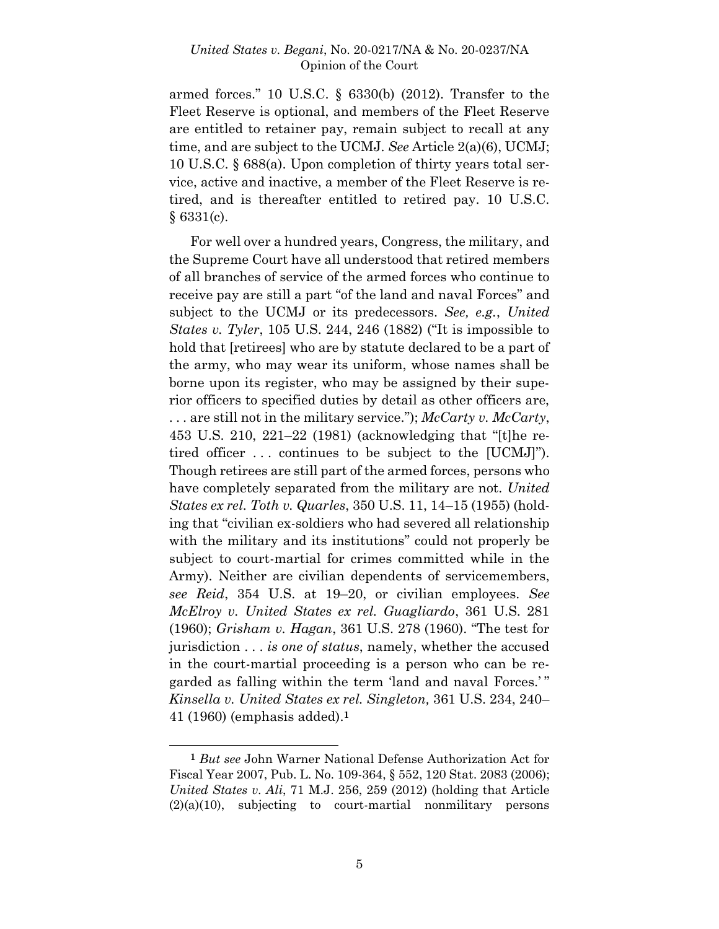armed forces." 10 U.S.C. § 6330(b) (2012). Transfer to the Fleet Reserve is optional, and members of the Fleet Reserve are entitled to retainer pay, remain subject to recall at any time, and are subject to the UCMJ. *See* Article 2(a)(6), UCMJ; 10 U.S.C. § 688(a). Upon completion of thirty years total service, active and inactive, a member of the Fleet Reserve is retired, and is thereafter entitled to retired pay. 10 U.S.C.  $§$  6331(c).

For well over a hundred years, Congress, the military, and the Supreme Court have all understood that retired members of all branches of service of the armed forces who continue to receive pay are still a part "of the land and naval Forces" and subject to the UCMJ or its predecessors. *See, e.g.*, *United States v. Tyler*, 105 U.S. 244, 246 (1882) ("It is impossible to hold that [retirees] who are by statute declared to be a part of the army, who may wear its uniform, whose names shall be borne upon its register, who may be assigned by their superior officers to specified duties by detail as other officers are, . . . are still not in the military service."); *McCarty v. McCarty*, 453 U.S. 210, 221–22 (1981) (acknowledging that "[t]he retired officer . . . continues to be subject to the [UCMJ]"). Though retirees are still part of the armed forces, persons who have completely separated from the military are not. *United States ex rel. Toth v. Quarles*, 350 U.S. 11, 14–15 (1955) (holding that "civilian ex-soldiers who had severed all relationship with the military and its institutions" could not properly be subject to court-martial for crimes committed while in the Army). Neither are civilian dependents of servicemembers, *see Reid*, 354 U.S. at 19–20, or civilian employees. *See McElroy v. United States ex rel. Guagliardo*, 361 U.S. 281 (1960); *Grisham v. Hagan*, 361 U.S. 278 (1960). "The test for jurisdiction . . . *is one of status*, namely, whether the accused in the court-martial proceeding is a person who can be regarded as falling within the term 'land and naval Forces.' " *Kinsella v. United States ex rel. Singleton,* 361 U.S. 234, 240– 41 (1960) (emphasis added). **1**

l

**<sup>1</sup>** *But see* John Warner National Defense Authorization Act for Fiscal Year 2007, Pub. L. No. 109-364, § 552, 120 Stat. 2083 (2006); *United States v. Ali*, 71 M.J. 256, 259 (2012) (holding that Article  $(2)(a)(10)$ , subjecting to court-martial nonmilitary persons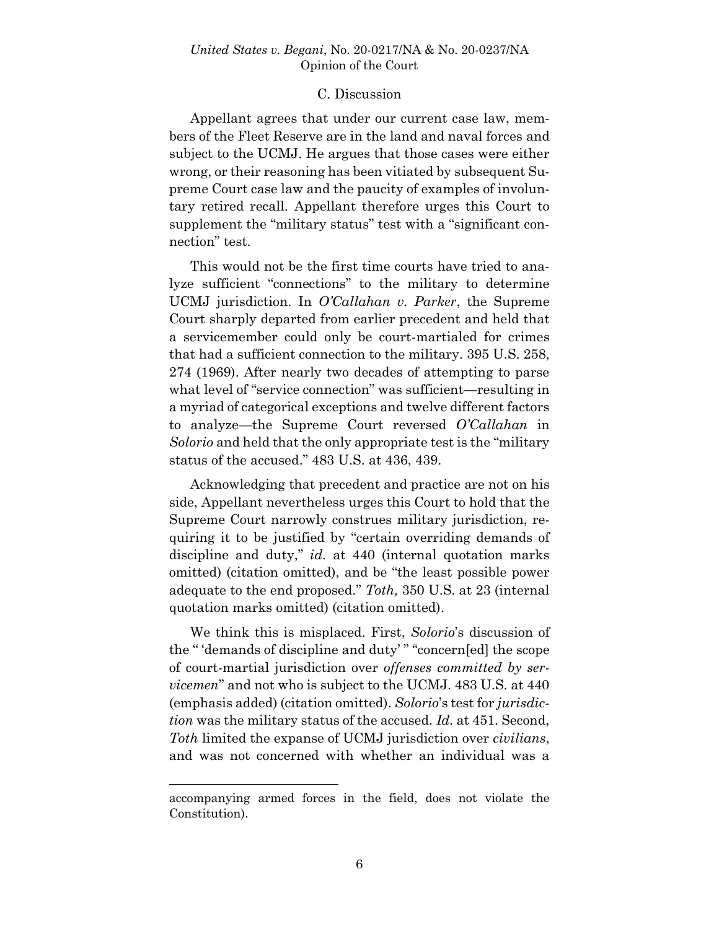### C. Discussion

Appellant agrees that under our current case law, members of the Fleet Reserve are in the land and naval forces and subject to the UCMJ. He argues that those cases were either wrong, or their reasoning has been vitiated by subsequent Supreme Court case law and the paucity of examples of involuntary retired recall. Appellant therefore urges this Court to supplement the "military status" test with a "significant connection" test.

This would not be the first time courts have tried to analyze sufficient "connections" to the military to determine UCMJ jurisdiction. In *O'Callahan v. Parker*, the Supreme Court sharply departed from earlier precedent and held that a servicemember could only be court-martialed for crimes that had a sufficient connection to the military. 395 U.S. 258, 274 (1969). After nearly two decades of attempting to parse what level of "service connection" was sufficient—resulting in a myriad of categorical exceptions and twelve different factors to analyze—the Supreme Court reversed *O'Callahan* in *Solorio* and held that the only appropriate test is the "military status of the accused." 483 U.S. at 436, 439.

Acknowledging that precedent and practice are not on his side, Appellant nevertheless urges this Court to hold that the Supreme Court narrowly construes military jurisdiction, requiring it to be justified by "certain overriding demands of discipline and duty," *id.* at 440 (internal quotation marks omitted) (citation omitted), and be "the least possible power adequate to the end proposed." *Toth,* 350 U.S. at 23 (internal quotation marks omitted) (citation omitted).

We think this is misplaced. First, *Solorio*'s discussion of the " 'demands of discipline and duty' " "concern[ed] the scope of court-martial jurisdiction over *offenses committed by servicemen*" and not who is subject to the UCMJ. 483 U.S. at 440 (emphasis added) (citation omitted). *Solorio*'s test for *jurisdiction* was the military status of the accused. *Id.* at 451. Second, *Toth* limited the expanse of UCMJ jurisdiction over *civilians*, and was not concerned with whether an individual was a

accompanying armed forces in the field, does not violate the Constitution).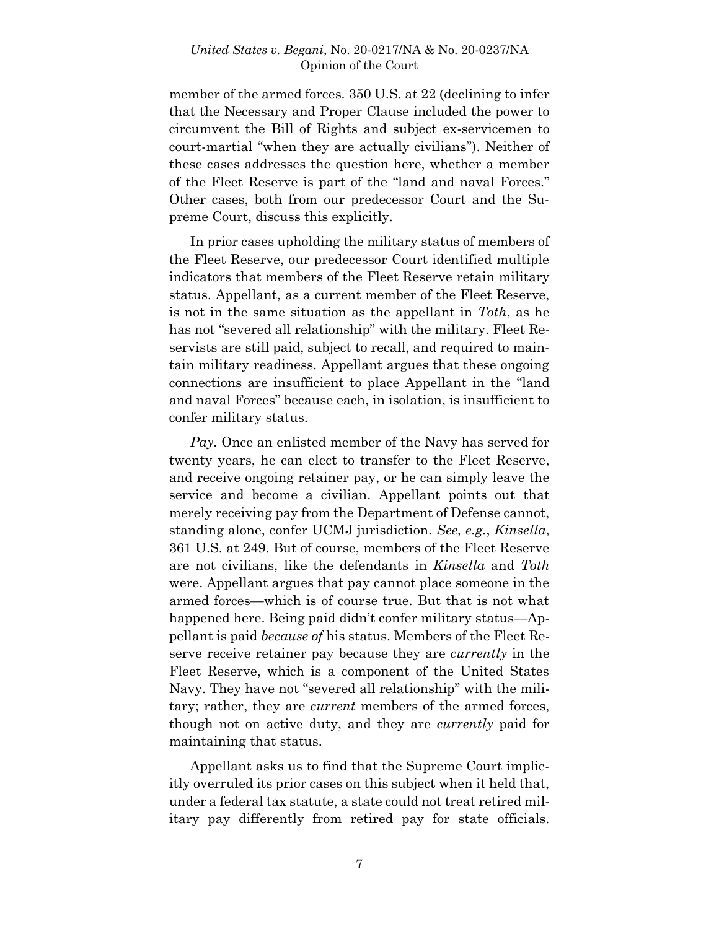member of the armed forces*.* 350 U.S. at 22 (declining to infer that the Necessary and Proper Clause included the power to circumvent the Bill of Rights and subject ex-servicemen to court-martial "when they are actually civilians"). Neither of these cases addresses the question here, whether a member of the Fleet Reserve is part of the "land and naval Forces." Other cases, both from our predecessor Court and the Supreme Court, discuss this explicitly.

In prior cases upholding the military status of members of the Fleet Reserve, our predecessor Court identified multiple indicators that members of the Fleet Reserve retain military status. Appellant, as a current member of the Fleet Reserve, is not in the same situation as the appellant in *Toth*, as he has not "severed all relationship" with the military. Fleet Reservists are still paid, subject to recall, and required to maintain military readiness. Appellant argues that these ongoing connections are insufficient to place Appellant in the "land and naval Forces" because each, in isolation, is insufficient to confer military status.

*Pay.* Once an enlisted member of the Navy has served for twenty years, he can elect to transfer to the Fleet Reserve, and receive ongoing retainer pay, or he can simply leave the service and become a civilian. Appellant points out that merely receiving pay from the Department of Defense cannot, standing alone, confer UCMJ jurisdiction. *See, e.g.*, *Kinsella*, 361 U.S. at 249. But of course, members of the Fleet Reserve are not civilians, like the defendants in *Kinsella* and *Toth* were. Appellant argues that pay cannot place someone in the armed forces—which is of course true. But that is not what happened here. Being paid didn't confer military status—Appellant is paid *because of* his status. Members of the Fleet Reserve receive retainer pay because they are *currently* in the Fleet Reserve, which is a component of the United States Navy. They have not "severed all relationship" with the military; rather, they are *current* members of the armed forces, though not on active duty, and they are *currently* paid for maintaining that status.

Appellant asks us to find that the Supreme Court implicitly overruled its prior cases on this subject when it held that, under a federal tax statute, a state could not treat retired military pay differently from retired pay for state officials.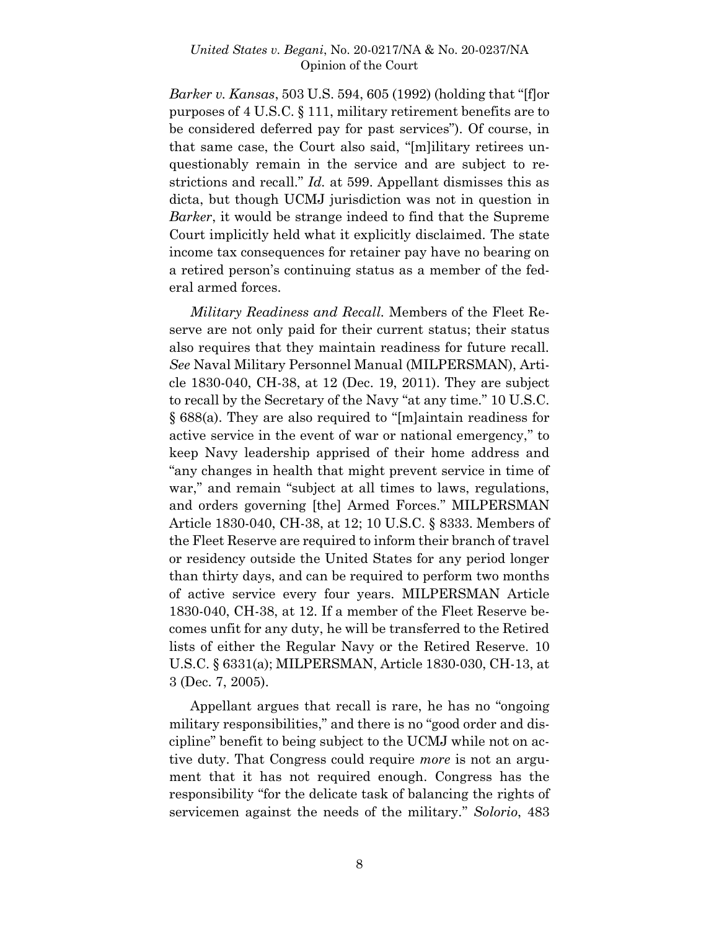*Barker v. Kansas*, 503 U.S. 594, 605 (1992) (holding that "[f]or purposes of 4 U.S.C. § 111, military retirement benefits are to be considered deferred pay for past services"). Of course, in that same case, the Court also said, "[m]ilitary retirees unquestionably remain in the service and are subject to restrictions and recall." *Id.* at 599. Appellant dismisses this as dicta, but though UCMJ jurisdiction was not in question in *Barker*, it would be strange indeed to find that the Supreme Court implicitly held what it explicitly disclaimed. The state income tax consequences for retainer pay have no bearing on a retired person's continuing status as a member of the federal armed forces.

*Military Readiness and Recall.* Members of the Fleet Reserve are not only paid for their current status; their status also requires that they maintain readiness for future recall. *See* Naval Military Personnel Manual (MILPERSMAN), Article 1830-040, CH-38, at 12 (Dec. 19, 2011). They are subject to recall by the Secretary of the Navy "at any time." 10 U.S.C. § 688(a). They are also required to "[m]aintain readiness for active service in the event of war or national emergency," to keep Navy leadership apprised of their home address and "any changes in health that might prevent service in time of war," and remain "subject at all times to laws, regulations, and orders governing [the] Armed Forces." MILPERSMAN Article 1830-040, CH-38, at 12; 10 U.S.C. § 8333. Members of the Fleet Reserve are required to inform their branch of travel or residency outside the United States for any period longer than thirty days, and can be required to perform two months of active service every four years. MILPERSMAN Article 1830-040, CH-38, at 12. If a member of the Fleet Reserve becomes unfit for any duty, he will be transferred to the Retired lists of either the Regular Navy or the Retired Reserve. 10 U.S.C. § 6331(a); MILPERSMAN, Article 1830-030, CH-13, at 3 (Dec. 7, 2005).

Appellant argues that recall is rare, he has no "ongoing military responsibilities," and there is no "good order and discipline" benefit to being subject to the UCMJ while not on active duty. That Congress could require *more* is not an argument that it has not required enough. Congress has the responsibility "for the delicate task of balancing the rights of servicemen against the needs of the military." *Solorio*, 483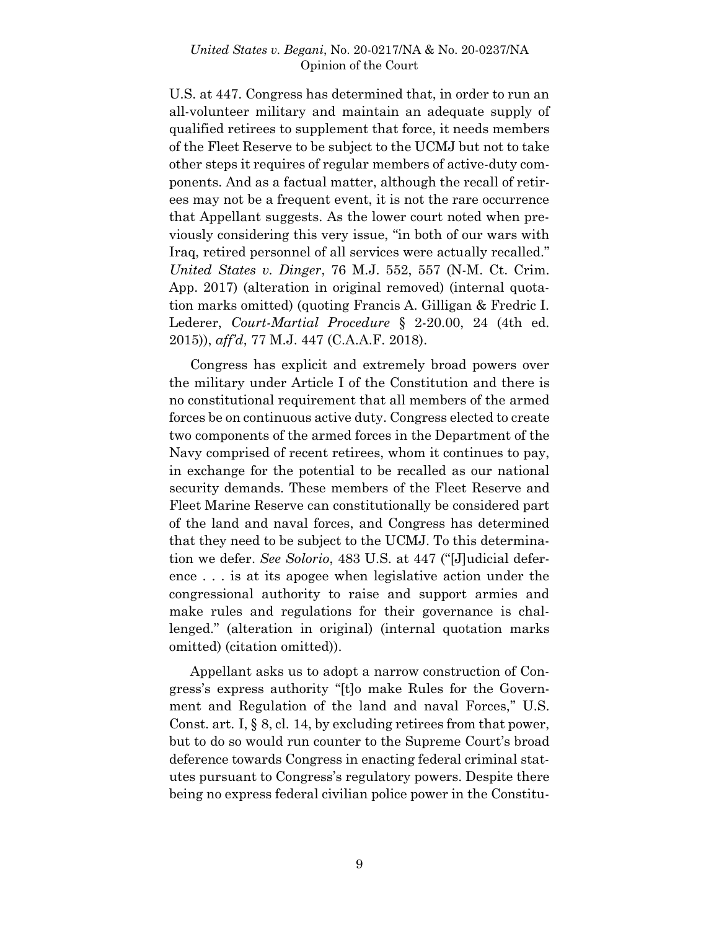U.S. at 447. Congress has determined that, in order to run an all-volunteer military and maintain an adequate supply of qualified retirees to supplement that force, it needs members of the Fleet Reserve to be subject to the UCMJ but not to take other steps it requires of regular members of active-duty components. And as a factual matter, although the recall of retirees may not be a frequent event, it is not the rare occurrence that Appellant suggests. As the lower court noted when previously considering this very issue, "in both of our wars with Iraq, retired personnel of all services were actually recalled." *United States v. Dinger*, 76 M.J. 552, 557 (N-M. Ct. Crim. App. 2017) (alteration in original removed) (internal quotation marks omitted) (quoting Francis A. Gilligan & Fredric I. Lederer, *Court-Martial Procedure* § 2-20.00, 24 (4th ed. 2015)), *aff'd*, 77 M.J. 447 (C.A.A.F. 2018).

Congress has explicit and extremely broad powers over the military under Article I of the Constitution and there is no constitutional requirement that all members of the armed forces be on continuous active duty. Congress elected to create two components of the armed forces in the Department of the Navy comprised of recent retirees, whom it continues to pay, in exchange for the potential to be recalled as our national security demands. These members of the Fleet Reserve and Fleet Marine Reserve can constitutionally be considered part of the land and naval forces, and Congress has determined that they need to be subject to the UCMJ. To this determination we defer. *See Solorio*, 483 U.S. at 447 ("[J]udicial deference . . . is at its apogee when legislative action under the congressional authority to raise and support armies and make rules and regulations for their governance is challenged." (alteration in original) (internal quotation marks omitted) (citation omitted)).

Appellant asks us to adopt a narrow construction of Congress's express authority "[t]o make Rules for the Government and Regulation of the land and naval Forces," U.S. Const. art. I, § 8, cl. 14, by excluding retirees from that power, but to do so would run counter to the Supreme Court's broad deference towards Congress in enacting federal criminal statutes pursuant to Congress's regulatory powers. Despite there being no express federal civilian police power in the Constitu-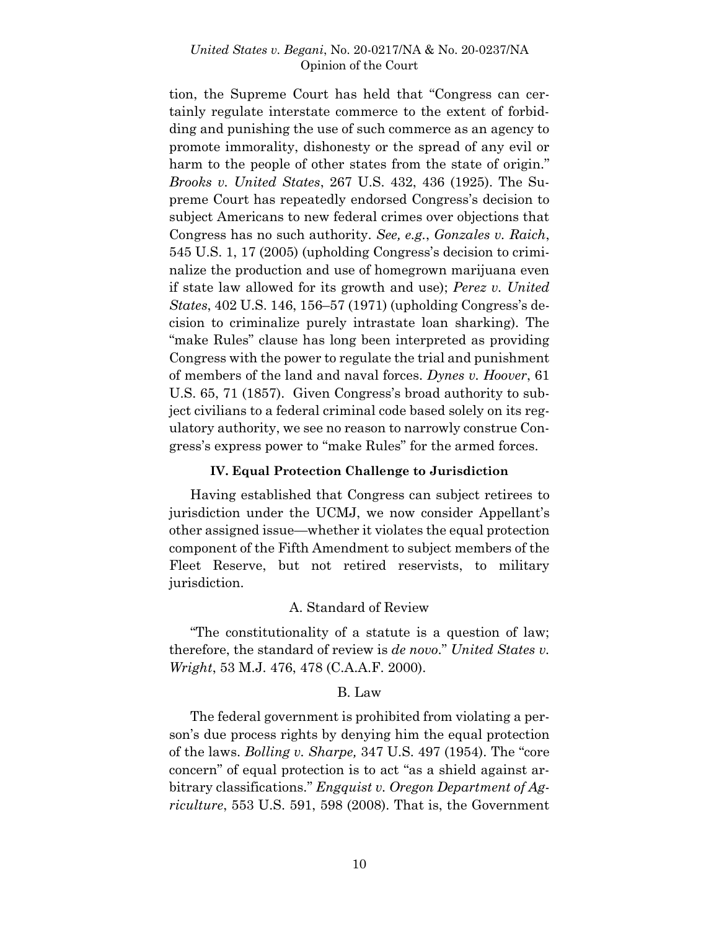tion, the Supreme Court has held that "Congress can certainly regulate interstate commerce to the extent of forbidding and punishing the use of such commerce as an agency to promote immorality, dishonesty or the spread of any evil or harm to the people of other states from the state of origin." *Brooks v. United States*, 267 U.S. 432, 436 (1925). The Supreme Court has repeatedly endorsed Congress's decision to subject Americans to new federal crimes over objections that Congress has no such authority. *See, e.g.*, *Gonzales v. Raich*, 545 U.S. 1, 17 (2005) (upholding Congress's decision to criminalize the production and use of homegrown marijuana even if state law allowed for its growth and use); *Perez v. United States*, 402 U.S. 146, 156–57 (1971) (upholding Congress's decision to criminalize purely intrastate loan sharking). The "make Rules" clause has long been interpreted as providing Congress with the power to regulate the trial and punishment of members of the land and naval forces. *Dynes v. Hoover*, 61 U.S. 65, 71 (1857). Given Congress's broad authority to subject civilians to a federal criminal code based solely on its regulatory authority, we see no reason to narrowly construe Congress's express power to "make Rules" for the armed forces.

### **IV. Equal Protection Challenge to Jurisdiction**

Having established that Congress can subject retirees to jurisdiction under the UCMJ, we now consider Appellant's other assigned issue—whether it violates the equal protection component of the Fifth Amendment to subject members of the Fleet Reserve, but not retired reservists, to military jurisdiction.

### A. Standard of Review

"The constitutionality of a statute is a question of law; therefore, the standard of review is *de novo*." *United States v. Wright*, 53 M.J. 476, 478 (C.A.A.F. 2000).

#### B. Law

The federal government is prohibited from violating a person's due process rights by denying him the equal protection of the laws. *Bolling v. Sharpe,* 347 U.S. 497 (1954). The "core concern" of equal protection is to act "as a shield against arbitrary classifications." *Engquist v. Oregon Department of Agriculture*, 553 U.S. 591, 598 (2008). That is, the Government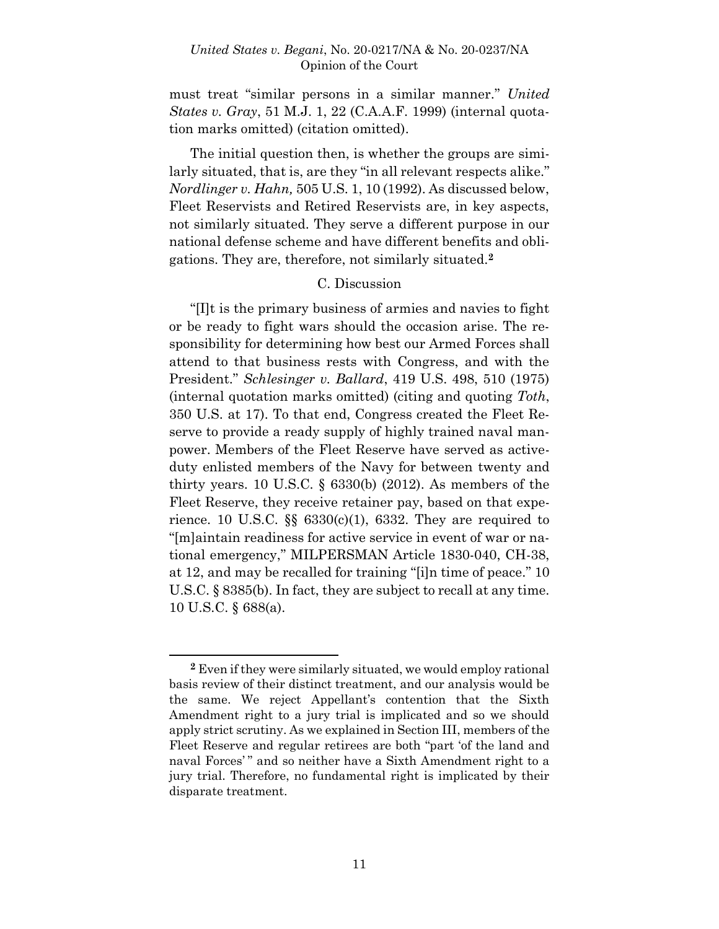must treat "similar persons in a similar manner." *United States v. Gray*, 51 M.J. 1, 22 (C.A.A.F. 1999) (internal quotation marks omitted) (citation omitted).

The initial question then, is whether the groups are similarly situated, that is, are they "in all relevant respects alike." *Nordlinger v. Hahn,* 505 U.S. 1, 10 (1992). As discussed below, Fleet Reservists and Retired Reservists are, in key aspects, not similarly situated. They serve a different purpose in our national defense scheme and have different benefits and obligations. They are, therefore, not similarly situated.**<sup>2</sup>**

#### C. Discussion

"[I]t is the primary business of armies and navies to fight or be ready to fight wars should the occasion arise. The responsibility for determining how best our Armed Forces shall attend to that business rests with Congress, and with the President." *Schlesinger v. Ballard*, 419 U.S. 498, 510 (1975) (internal quotation marks omitted) (citing and quoting *Toth*, 350 U.S. at 17). To that end, Congress created the Fleet Reserve to provide a ready supply of highly trained naval manpower. Members of the Fleet Reserve have served as activeduty enlisted members of the Navy for between twenty and thirty years. 10 U.S.C. § 6330(b) (2012). As members of the Fleet Reserve, they receive retainer pay, based on that experience. 10 U.S.C.  $\S$   $6330(c)(1)$ , 6332. They are required to "[m]aintain readiness for active service in event of war or national emergency," MILPERSMAN Article 1830-040, CH-38, at 12, and may be recalled for training "[i]n time of peace." 10 U.S.C. § 8385(b). In fact, they are subject to recall at any time. 10 U.S.C. § 688(a).

l

**<sup>2</sup>** Even if they were similarly situated, we would employ rational basis review of their distinct treatment, and our analysis would be the same. We reject Appellant's contention that the Sixth Amendment right to a jury trial is implicated and so we should apply strict scrutiny. As we explained in Section III, members of the Fleet Reserve and regular retirees are both "part 'of the land and naval Forces'" and so neither have a Sixth Amendment right to a jury trial. Therefore, no fundamental right is implicated by their disparate treatment.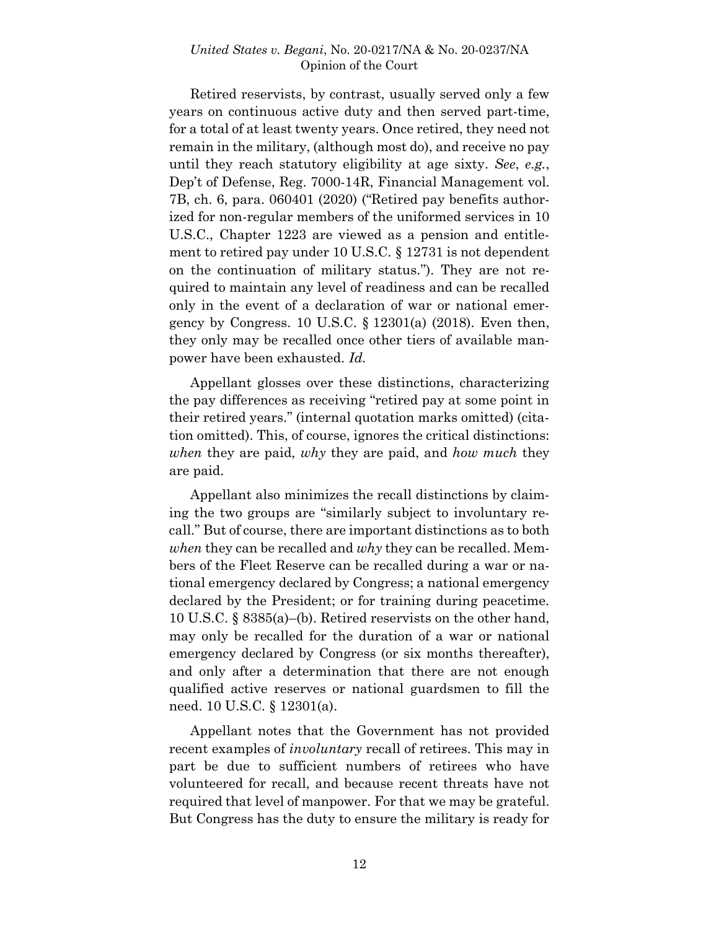Retired reservists, by contrast, usually served only a few years on continuous active duty and then served part-time, for a total of at least twenty years. Once retired, they need not remain in the military, (although most do), and receive no pay until they reach statutory eligibility at age sixty. *See*, *e.g.*, Dep't of Defense, Reg. 7000-14R, Financial Management vol. 7B, ch. 6, para. 060401 (2020) ("Retired pay benefits authorized for non-regular members of the uniformed services in 10 U.S.C., Chapter 1223 are viewed as a pension and entitlement to retired pay under 10 U.S.C. § 12731 is not dependent on the continuation of military status."). They are not required to maintain any level of readiness and can be recalled only in the event of a declaration of war or national emergency by Congress. 10 U.S.C. § 12301(a) (2018). Even then, they only may be recalled once other tiers of available manpower have been exhausted. *Id.*

Appellant glosses over these distinctions, characterizing the pay differences as receiving "retired pay at some point in their retired years." (internal quotation marks omitted) (citation omitted). This, of course, ignores the critical distinctions: *when* they are paid, *why* they are paid, and *how much* they are paid.

Appellant also minimizes the recall distinctions by claiming the two groups are "similarly subject to involuntary recall." But of course, there are important distinctions as to both *when* they can be recalled and *why* they can be recalled. Members of the Fleet Reserve can be recalled during a war or national emergency declared by Congress; a national emergency declared by the President; or for training during peacetime. 10 U.S.C. § 8385(a)–(b). Retired reservists on the other hand, may only be recalled for the duration of a war or national emergency declared by Congress (or six months thereafter), and only after a determination that there are not enough qualified active reserves or national guardsmen to fill the need. 10 U.S.C. § 12301(a).

Appellant notes that the Government has not provided recent examples of *involuntary* recall of retirees. This may in part be due to sufficient numbers of retirees who have volunteered for recall, and because recent threats have not required that level of manpower. For that we may be grateful. But Congress has the duty to ensure the military is ready for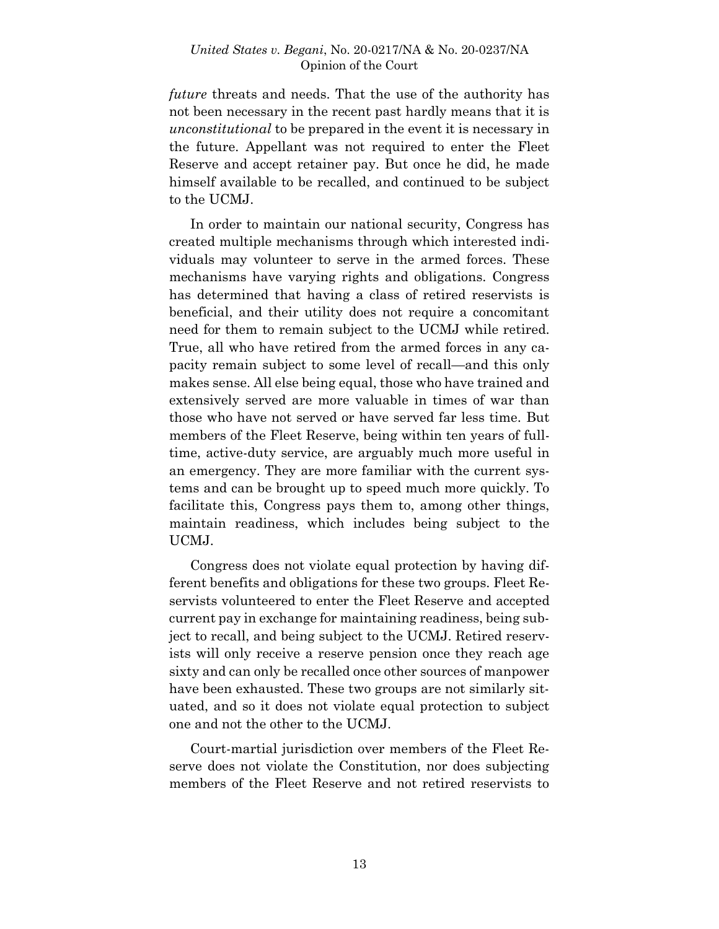*future* threats and needs. That the use of the authority has not been necessary in the recent past hardly means that it is *unconstitutional* to be prepared in the event it is necessary in the future. Appellant was not required to enter the Fleet Reserve and accept retainer pay. But once he did, he made himself available to be recalled, and continued to be subject to the UCMJ.

In order to maintain our national security, Congress has created multiple mechanisms through which interested individuals may volunteer to serve in the armed forces. These mechanisms have varying rights and obligations. Congress has determined that having a class of retired reservists is beneficial, and their utility does not require a concomitant need for them to remain subject to the UCMJ while retired. True, all who have retired from the armed forces in any capacity remain subject to some level of recall—and this only makes sense. All else being equal, those who have trained and extensively served are more valuable in times of war than those who have not served or have served far less time. But members of the Fleet Reserve, being within ten years of fulltime, active-duty service, are arguably much more useful in an emergency. They are more familiar with the current systems and can be brought up to speed much more quickly. To facilitate this, Congress pays them to, among other things, maintain readiness, which includes being subject to the UCMJ.

Congress does not violate equal protection by having different benefits and obligations for these two groups. Fleet Reservists volunteered to enter the Fleet Reserve and accepted current pay in exchange for maintaining readiness, being subject to recall, and being subject to the UCMJ. Retired reservists will only receive a reserve pension once they reach age sixty and can only be recalled once other sources of manpower have been exhausted. These two groups are not similarly situated, and so it does not violate equal protection to subject one and not the other to the UCMJ.

Court-martial jurisdiction over members of the Fleet Reserve does not violate the Constitution, nor does subjecting members of the Fleet Reserve and not retired reservists to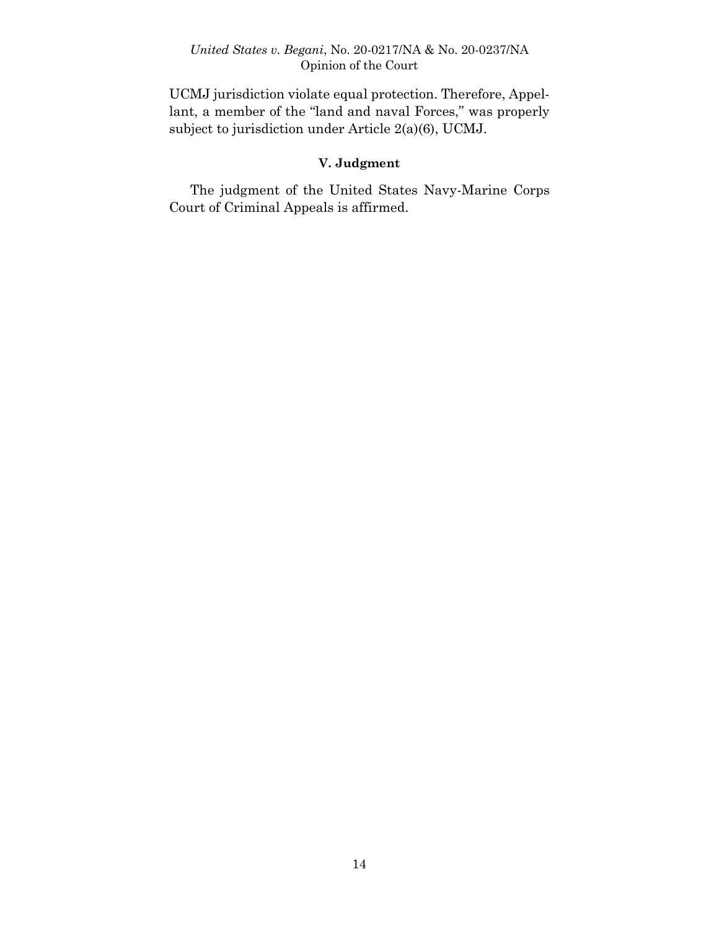UCMJ jurisdiction violate equal protection. Therefore, Appellant, a member of the "land and naval Forces," was properly subject to jurisdiction under Article 2(a)(6), UCMJ.

# **V. Judgment**

The judgment of the United States Navy-Marine Corps Court of Criminal Appeals is affirmed.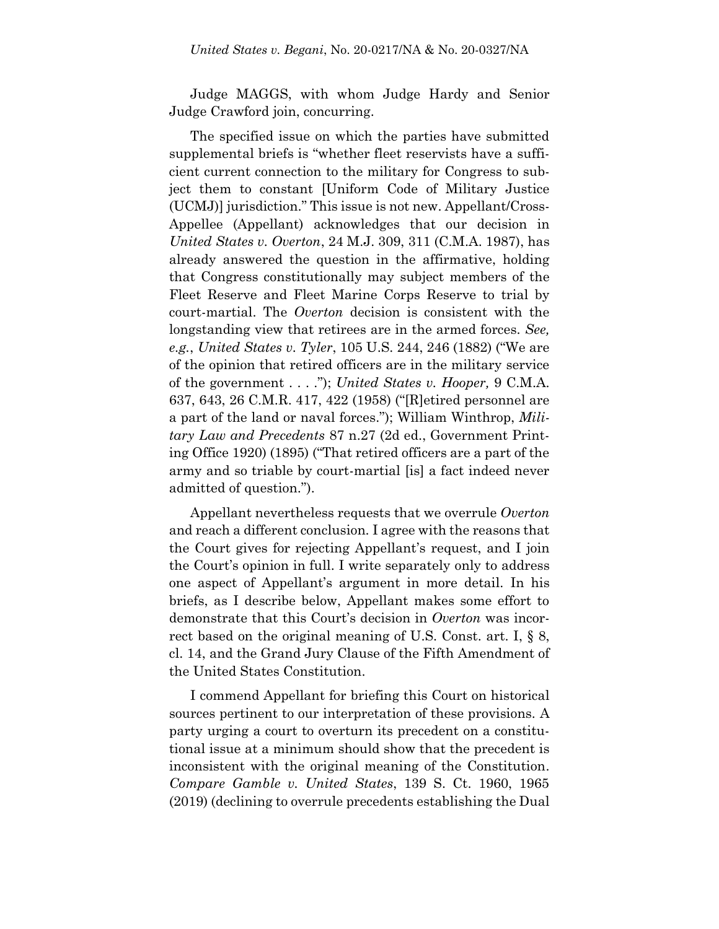Judge MAGGS, with whom Judge Hardy and Senior Judge Crawford join, concurring.

The specified issue on which the parties have submitted supplemental briefs is "whether fleet reservists have a sufficient current connection to the military for Congress to subject them to constant [Uniform Code of Military Justice (UCMJ)] jurisdiction." This issue is not new. Appellant/Cross-Appellee (Appellant) acknowledges that our decision in *United States v. Overton*, 24 M.J. 309, 311 (C.M.A. 1987), has already answered the question in the affirmative, holding that Congress constitutionally may subject members of the Fleet Reserve and Fleet Marine Corps Reserve to trial by court-martial. The *Overton* decision is consistent with the longstanding view that retirees are in the armed forces. *See, e.g.*, *United States v. Tyler*, 105 U.S. 244, 246 (1882) ("We are of the opinion that retired officers are in the military service of the government . . . ."); *United States v. Hooper,* 9 C.M.A. 637, 643, 26 C.M.R. 417, 422 (1958) ("[R]etired personnel are a part of the land or naval forces."); William Winthrop, *Military Law and Precedents* 87 n.27 (2d ed., Government Printing Office 1920) (1895) ("That retired officers are a part of the army and so triable by court-martial [is] a fact indeed never admitted of question.").

Appellant nevertheless requests that we overrule *Overton* and reach a different conclusion. I agree with the reasons that the Court gives for rejecting Appellant's request, and I join the Court's opinion in full. I write separately only to address one aspect of Appellant's argument in more detail. In his briefs, as I describe below, Appellant makes some effort to demonstrate that this Court's decision in *Overton* was incorrect based on the original meaning of U.S. Const. art. I, § 8, cl. 14, and the Grand Jury Clause of the Fifth Amendment of the United States Constitution.

I commend Appellant for briefing this Court on historical sources pertinent to our interpretation of these provisions. A party urging a court to overturn its precedent on a constitutional issue at a minimum should show that the precedent is inconsistent with the original meaning of the Constitution. *Compare Gamble v. United States*, 139 S. Ct. 1960, 1965 (2019) (declining to overrule precedents establishing the Dual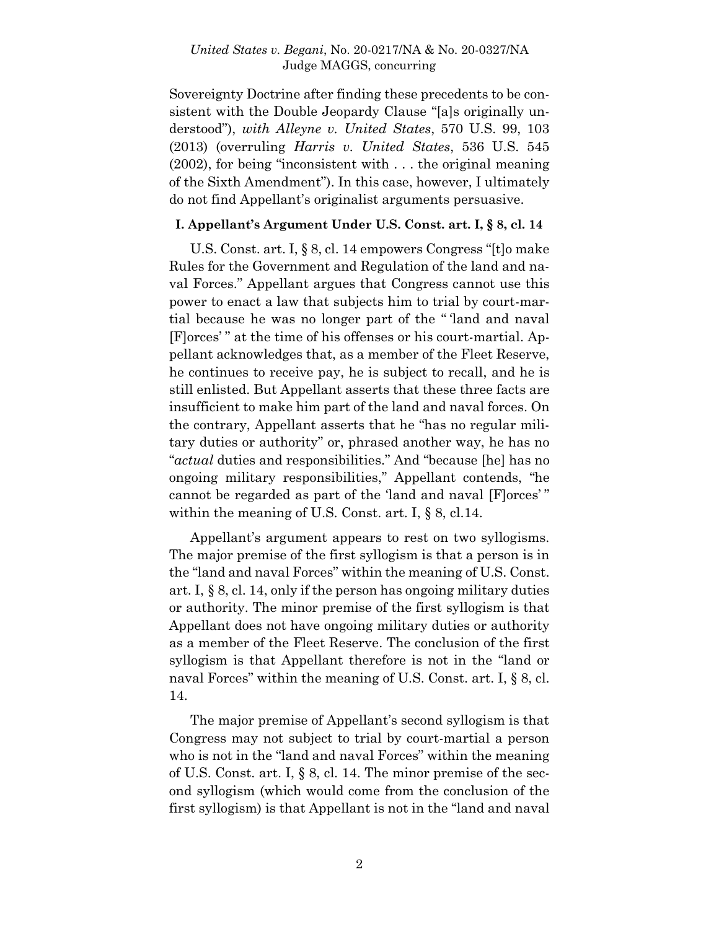Sovereignty Doctrine after finding these precedents to be consistent with the Double Jeopardy Clause "[a]s originally understood"), *with Alleyne v. United States*, 570 U.S. 99, 103 (2013) (overruling *Harris v. United States*, 536 U.S. 545 (2002), for being "inconsistent with . . . the original meaning of the Sixth Amendment"). In this case, however, I ultimately do not find Appellant's originalist arguments persuasive.

### **I. Appellant's Argument Under U.S. Const. art. I, § 8, cl. 14**

U.S. Const. art. I, § 8, cl. 14 empowers Congress "[t]o make Rules for the Government and Regulation of the land and naval Forces." Appellant argues that Congress cannot use this power to enact a law that subjects him to trial by court-martial because he was no longer part of the " 'land and naval [F]orces' " at the time of his offenses or his court-martial. Appellant acknowledges that, as a member of the Fleet Reserve, he continues to receive pay, he is subject to recall, and he is still enlisted. But Appellant asserts that these three facts are insufficient to make him part of the land and naval forces. On the contrary, Appellant asserts that he "has no regular military duties or authority" or, phrased another way, he has no "*actual* duties and responsibilities." And "because [he] has no ongoing military responsibilities," Appellant contends, "he cannot be regarded as part of the 'land and naval [F]orces' " within the meaning of U.S. Const. art. I, § 8, cl.14.

Appellant's argument appears to rest on two syllogisms. The major premise of the first syllogism is that a person is in the "land and naval Forces" within the meaning of U.S. Const. art. I, § 8, cl. 14, only if the person has ongoing military duties or authority. The minor premise of the first syllogism is that Appellant does not have ongoing military duties or authority as a member of the Fleet Reserve. The conclusion of the first syllogism is that Appellant therefore is not in the "land or naval Forces" within the meaning of U.S. Const. art. I, § 8, cl. 14.

The major premise of Appellant's second syllogism is that Congress may not subject to trial by court-martial a person who is not in the "land and naval Forces" within the meaning of U.S. Const. art. I, § 8, cl. 14. The minor premise of the second syllogism (which would come from the conclusion of the first syllogism) is that Appellant is not in the "land and naval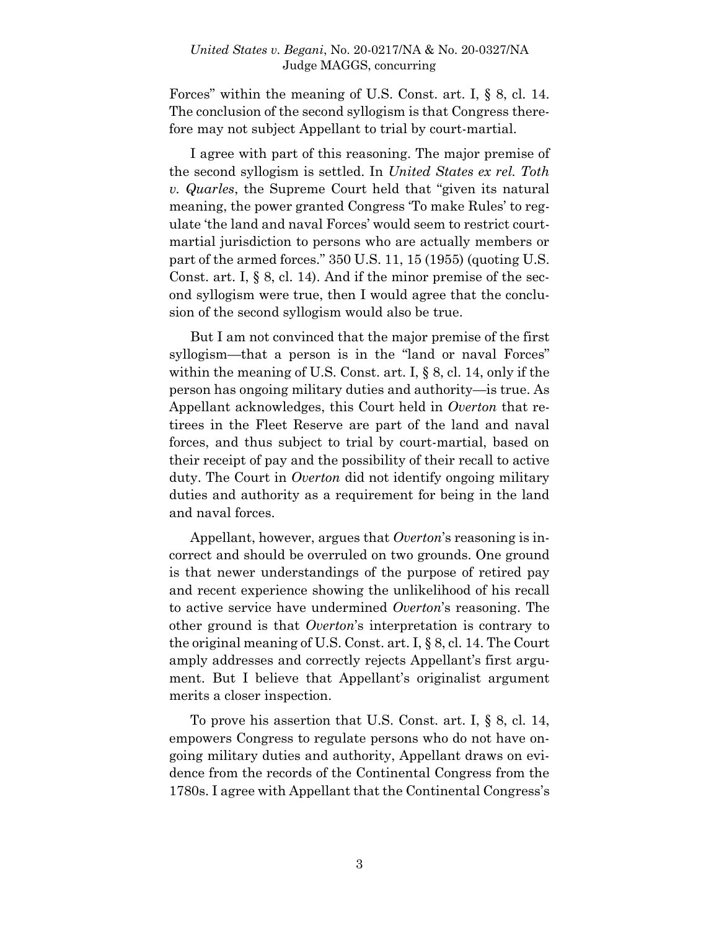Forces" within the meaning of U.S. Const. art. I, § 8, cl. 14. The conclusion of the second syllogism is that Congress therefore may not subject Appellant to trial by court-martial.

I agree with part of this reasoning. The major premise of the second syllogism is settled. In *United States ex rel. Toth v. Quarles*, the Supreme Court held that "given its natural meaning, the power granted Congress 'To make Rules' to regulate 'the land and naval Forces' would seem to restrict courtmartial jurisdiction to persons who are actually members or part of the armed forces." 350 U.S. 11, 15 (1955) (quoting U.S. Const. art. I,  $\S$  8, cl. 14). And if the minor premise of the second syllogism were true, then I would agree that the conclusion of the second syllogism would also be true.

But I am not convinced that the major premise of the first syllogism—that a person is in the "land or naval Forces" within the meaning of U.S. Const. art. I, § 8, cl. 14, only if the person has ongoing military duties and authority—is true. As Appellant acknowledges, this Court held in *Overton* that retirees in the Fleet Reserve are part of the land and naval forces, and thus subject to trial by court-martial, based on their receipt of pay and the possibility of their recall to active duty. The Court in *Overton* did not identify ongoing military duties and authority as a requirement for being in the land and naval forces.

Appellant, however, argues that *Overton*'s reasoning is incorrect and should be overruled on two grounds. One ground is that newer understandings of the purpose of retired pay and recent experience showing the unlikelihood of his recall to active service have undermined *Overton*'s reasoning. The other ground is that *Overton*'s interpretation is contrary to the original meaning of U.S. Const. art. I, § 8, cl. 14. The Court amply addresses and correctly rejects Appellant's first argument. But I believe that Appellant's originalist argument merits a closer inspection.

To prove his assertion that U.S. Const. art. I, § 8, cl. 14, empowers Congress to regulate persons who do not have ongoing military duties and authority, Appellant draws on evidence from the records of the Continental Congress from the 1780s. I agree with Appellant that the Continental Congress's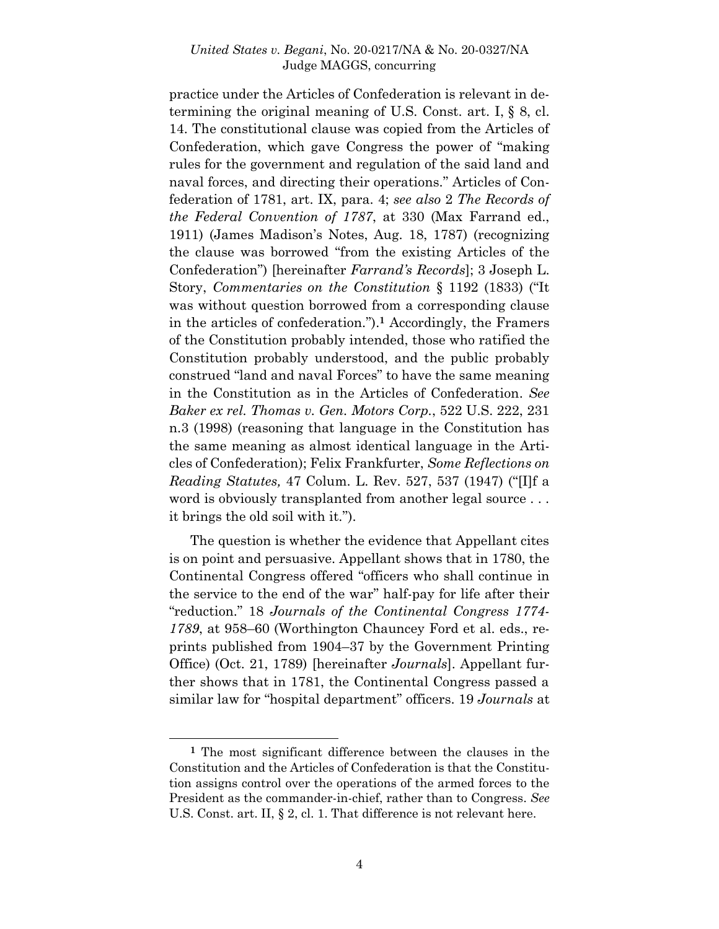practice under the Articles of Confederation is relevant in determining the original meaning of U.S. Const. art. I, § 8, cl. 14. The constitutional clause was copied from the Articles of Confederation, which gave Congress the power of "making rules for the government and regulation of the said land and naval forces, and directing their operations." Articles of Confederation of 1781, art. IX, para. 4; *see also* 2 *The Records of the Federal Convention of 1787*, at 330 (Max Farrand ed., 1911) (James Madison's Notes, Aug. 18, 1787) (recognizing the clause was borrowed "from the existing Articles of the Confederation") [hereinafter *Farrand's Records*]; 3 Joseph L. Story, *Commentaries on the Constitution* § 1192 (1833) ("It was without question borrowed from a corresponding clause in the articles of confederation.").**<sup>1</sup>** Accordingly, the Framers of the Constitution probably intended, those who ratified the Constitution probably understood, and the public probably construed "land and naval Forces" to have the same meaning in the Constitution as in the Articles of Confederation. *See Baker ex rel. Thomas v. Gen. Motors Corp.*, 522 U.S. 222, 231 n.3 (1998) (reasoning that language in the Constitution has the same meaning as almost identical language in the Articles of Confederation); Felix Frankfurter, *Some Reflections on Reading Statutes,* 47 Colum. L. Rev. 527, 537 (1947) ("[I]f a word is obviously transplanted from another legal source . . . it brings the old soil with it.").

The question is whether the evidence that Appellant cites is on point and persuasive. Appellant shows that in 1780, the Continental Congress offered "officers who shall continue in the service to the end of the war" half-pay for life after their "reduction." 18 *Journals of the Continental Congress 1774- 1789*, at 958–60 (Worthington Chauncey Ford et al. eds., reprints published from 1904–37 by the Government Printing Office) (Oct. 21, 1789) [hereinafter *Journals*]. Appellant further shows that in 1781, the Continental Congress passed a similar law for "hospital department" officers. 19 *Journals* at

**<sup>1</sup>** The most significant difference between the clauses in the Constitution and the Articles of Confederation is that the Constitution assigns control over the operations of the armed forces to the President as the commander-in-chief, rather than to Congress. *See* U.S. Const. art. II, § 2, cl. 1. That difference is not relevant here.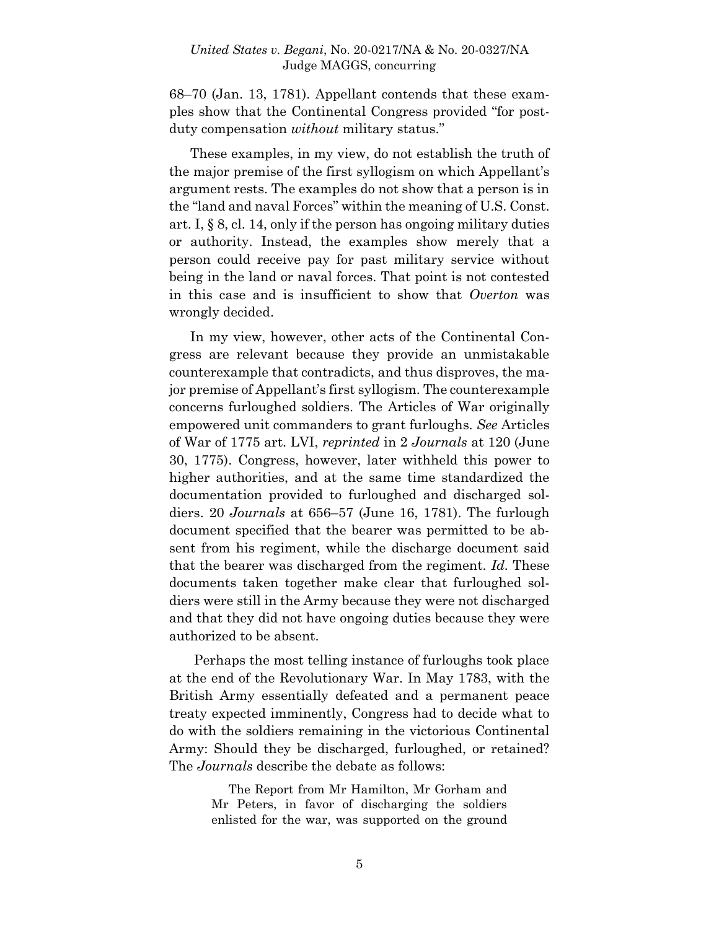68–70 (Jan. 13, 1781). Appellant contends that these examples show that the Continental Congress provided "for postduty compensation *without* military status."

These examples, in my view, do not establish the truth of the major premise of the first syllogism on which Appellant's argument rests. The examples do not show that a person is in the "land and naval Forces" within the meaning of U.S. Const. art. I, § 8, cl. 14, only if the person has ongoing military duties or authority. Instead, the examples show merely that a person could receive pay for past military service without being in the land or naval forces. That point is not contested in this case and is insufficient to show that *Overton* was wrongly decided.

In my view, however, other acts of the Continental Congress are relevant because they provide an unmistakable counterexample that contradicts, and thus disproves, the major premise of Appellant's first syllogism. The counterexample concerns furloughed soldiers. The Articles of War originally empowered unit commanders to grant furloughs. *See* Articles of War of 1775 art. LVI, *reprinted* in 2 *Journals* at 120 (June 30, 1775). Congress, however, later withheld this power to higher authorities, and at the same time standardized the documentation provided to furloughed and discharged soldiers. 20 *Journals* at 656–57 (June 16, 1781). The furlough document specified that the bearer was permitted to be absent from his regiment, while the discharge document said that the bearer was discharged from the regiment. *Id.* These documents taken together make clear that furloughed soldiers were still in the Army because they were not discharged and that they did not have ongoing duties because they were authorized to be absent.

Perhaps the most telling instance of furloughs took place at the end of the Revolutionary War. In May 1783, with the British Army essentially defeated and a permanent peace treaty expected imminently, Congress had to decide what to do with the soldiers remaining in the victorious Continental Army: Should they be discharged, furloughed, or retained? The *Journals* describe the debate as follows:

> The Report from Mr Hamilton, Mr Gorham and Mr Peters, in favor of discharging the soldiers enlisted for the war, was supported on the ground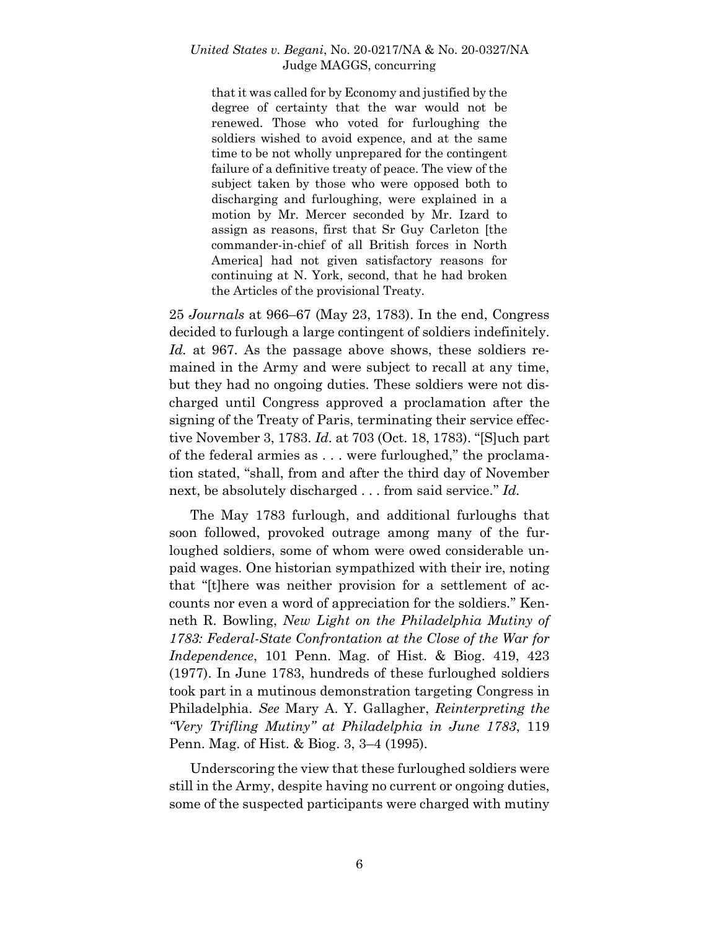that it was called for by Economy and justified by the degree of certainty that the war would not be renewed. Those who voted for furloughing the soldiers wished to avoid expence, and at the same time to be not wholly unprepared for the contingent failure of a definitive treaty of peace. The view of the subject taken by those who were opposed both to discharging and furloughing, were explained in a motion by Mr. Mercer seconded by Mr. Izard to assign as reasons, first that Sr Guy Carleton [the commander-in-chief of all British forces in North America] had not given satisfactory reasons for continuing at N. York, second, that he had broken the Articles of the provisional Treaty.

25 *Journals* at 966–67 (May 23, 1783). In the end, Congress decided to furlough a large contingent of soldiers indefinitely. *Id.* at 967. As the passage above shows, these soldiers remained in the Army and were subject to recall at any time, but they had no ongoing duties. These soldiers were not discharged until Congress approved a proclamation after the signing of the Treaty of Paris, terminating their service effective November 3, 1783. *Id.* at 703 (Oct. 18, 1783). "[S]uch part of the federal armies as . . . were furloughed," the proclamation stated, "shall, from and after the third day of November next, be absolutely discharged . . . from said service." *Id.*

The May 1783 furlough, and additional furloughs that soon followed, provoked outrage among many of the furloughed soldiers, some of whom were owed considerable unpaid wages. One historian sympathized with their ire, noting that "[t]here was neither provision for a settlement of accounts nor even a word of appreciation for the soldiers." Kenneth R. Bowling, *New Light on the Philadelphia Mutiny of 1783: Federal-State Confrontation at the Close of the War for Independence*, 101 Penn. Mag. of Hist. & Biog. 419, 423 (1977). In June 1783, hundreds of these furloughed soldiers took part in a mutinous demonstration targeting Congress in Philadelphia. *See* Mary A. Y. Gallagher, *Reinterpreting the "Very Trifling Mutiny" at Philadelphia in June 1783*, 119 Penn. Mag. of Hist. & Biog. 3, 3–4 (1995).

Underscoring the view that these furloughed soldiers were still in the Army, despite having no current or ongoing duties, some of the suspected participants were charged with mutiny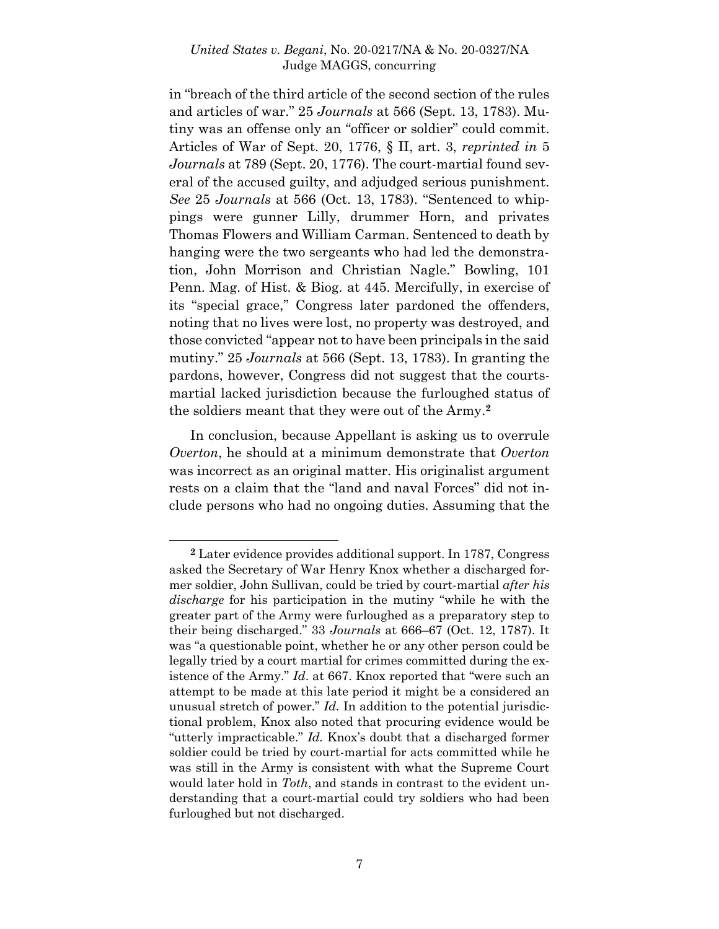in "breach of the third article of the second section of the rules and articles of war." 25 *Journals* at 566 (Sept. 13, 1783). Mutiny was an offense only an "officer or soldier" could commit. Articles of War of Sept. 20, 1776, § II, art. 3, *reprinted in* 5 *Journals* at 789 (Sept. 20, 1776). The court-martial found several of the accused guilty, and adjudged serious punishment. *See* 25 *Journals* at 566 (Oct. 13, 1783). "Sentenced to whippings were gunner Lilly, drummer Horn, and privates Thomas Flowers and William Carman. Sentenced to death by hanging were the two sergeants who had led the demonstration, John Morrison and Christian Nagle." Bowling, 101 Penn. Mag. of Hist. & Biog. at 445. Mercifully, in exercise of its "special grace," Congress later pardoned the offenders, noting that no lives were lost, no property was destroyed, and those convicted "appear not to have been principals in the said mutiny." 25 *Journals* at 566 (Sept. 13, 1783). In granting the pardons, however, Congress did not suggest that the courtsmartial lacked jurisdiction because the furloughed status of the soldiers meant that they were out of the Army. **2**

In conclusion, because Appellant is asking us to overrule *Overton*, he should at a minimum demonstrate that *Overton* was incorrect as an original matter. His originalist argument rests on a claim that the "land and naval Forces" did not include persons who had no ongoing duties. Assuming that the

l

**<sup>2</sup>** Later evidence provides additional support. In 1787, Congress asked the Secretary of War Henry Knox whether a discharged former soldier, John Sullivan, could be tried by court-martial *after his discharge* for his participation in the mutiny "while he with the greater part of the Army were furloughed as a preparatory step to their being discharged." 33 *Journals* at 666–67 (Oct. 12, 1787). It was "a questionable point, whether he or any other person could be legally tried by a court martial for crimes committed during the existence of the Army." *Id*. at 667. Knox reported that "were such an attempt to be made at this late period it might be a considered an unusual stretch of power." *Id.* In addition to the potential jurisdictional problem, Knox also noted that procuring evidence would be "utterly impracticable." *Id.* Knox's doubt that a discharged former soldier could be tried by court-martial for acts committed while he was still in the Army is consistent with what the Supreme Court would later hold in *Toth*, and stands in contrast to the evident understanding that a court-martial could try soldiers who had been furloughed but not discharged.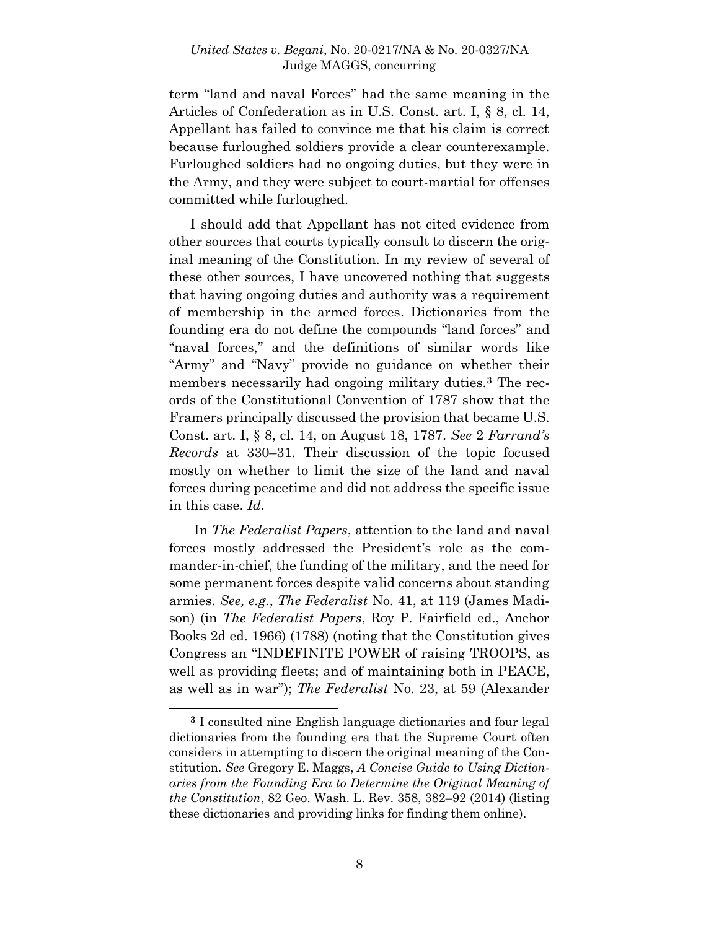term "land and naval Forces" had the same meaning in the Articles of Confederation as in U.S. Const. art. I, § 8, cl. 14, Appellant has failed to convince me that his claim is correct because furloughed soldiers provide a clear counterexample. Furloughed soldiers had no ongoing duties, but they were in the Army, and they were subject to court-martial for offenses committed while furloughed.

I should add that Appellant has not cited evidence from other sources that courts typically consult to discern the original meaning of the Constitution. In my review of several of these other sources, I have uncovered nothing that suggests that having ongoing duties and authority was a requirement of membership in the armed forces. Dictionaries from the founding era do not define the compounds "land forces" and "naval forces," and the definitions of similar words like "Army" and "Navy" provide no guidance on whether their members necessarily had ongoing military duties.**<sup>3</sup>** The records of the Constitutional Convention of 1787 show that the Framers principally discussed the provision that became U.S. Const. art. I, § 8, cl. 14, on August 18, 1787. *See* 2 *Farrand's Records* at 330–31. Their discussion of the topic focused mostly on whether to limit the size of the land and naval forces during peacetime and did not address the specific issue in this case. *Id.*

In *The Federalist Papers*, attention to the land and naval forces mostly addressed the President's role as the commander-in-chief, the funding of the military, and the need for some permanent forces despite valid concerns about standing armies. *See, e.g.*, *The Federalist* No. 41, at 119 (James Madison) (in *The Federalist Papers*, Roy P. Fairfield ed., Anchor Books 2d ed. 1966) (1788) (noting that the Constitution gives Congress an "INDEFINITE POWER of raising TROOPS, as well as providing fleets; and of maintaining both in PEACE, as well as in war"); *The Federalist* No. 23, at 59 (Alexander

**<sup>3</sup>** I consulted nine English language dictionaries and four legal dictionaries from the founding era that the Supreme Court often considers in attempting to discern the original meaning of the Constitution. *See* Gregory E. Maggs, *A Concise Guide to Using Dictionaries from the Founding Era to Determine the Original Meaning of the Constitution*, 82 Geo. Wash. L. Rev. 358, 382–92 (2014) (listing these dictionaries and providing links for finding them online).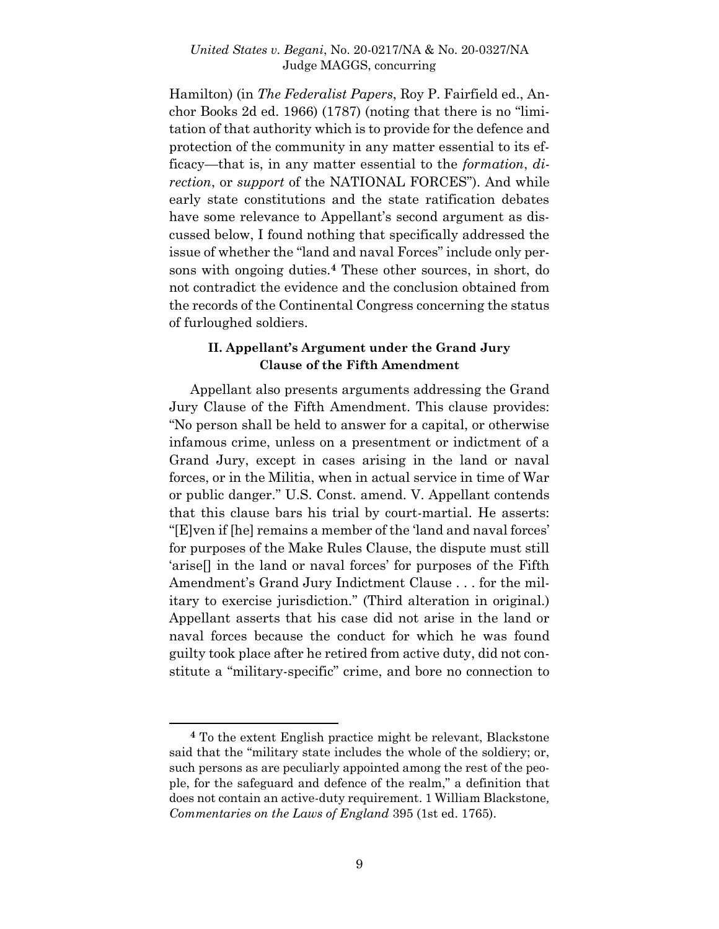Hamilton) (in *The Federalist Papers*, Roy P. Fairfield ed., Anchor Books 2d ed. 1966) (1787) (noting that there is no "limitation of that authority which is to provide for the defence and protection of the community in any matter essential to its efficacy—that is, in any matter essential to the *formation*, *direction*, or *support* of the NATIONAL FORCES"). And while early state constitutions and the state ratification debates have some relevance to Appellant's second argument as discussed below, I found nothing that specifically addressed the issue of whether the "land and naval Forces" include only persons with ongoing duties.**<sup>4</sup>** These other sources, in short, do not contradict the evidence and the conclusion obtained from the records of the Continental Congress concerning the status of furloughed soldiers.

# **II. Appellant's Argument under the Grand Jury Clause of the Fifth Amendment**

Appellant also presents arguments addressing the Grand Jury Clause of the Fifth Amendment. This clause provides: "No person shall be held to answer for a capital, or otherwise infamous crime, unless on a presentment or indictment of a Grand Jury, except in cases arising in the land or naval forces, or in the Militia, when in actual service in time of War or public danger." U.S. Const. amend. V. Appellant contends that this clause bars his trial by court-martial. He asserts: "[E]ven if [he] remains a member of the 'land and naval forces' for purposes of the Make Rules Clause, the dispute must still 'arise[] in the land or naval forces' for purposes of the Fifth Amendment's Grand Jury Indictment Clause . . . for the military to exercise jurisdiction." (Third alteration in original.) Appellant asserts that his case did not arise in the land or naval forces because the conduct for which he was found guilty took place after he retired from active duty, did not constitute a "military-specific" crime, and bore no connection to

l

**<sup>4</sup>** To the extent English practice might be relevant, Blackstone said that the "military state includes the whole of the soldiery; or, such persons as are peculiarly appointed among the rest of the people, for the safeguard and defence of the realm," a definition that does not contain an active-duty requirement. 1 William Blackstone*, Commentaries on the Laws of England* 395 (1st ed. 1765).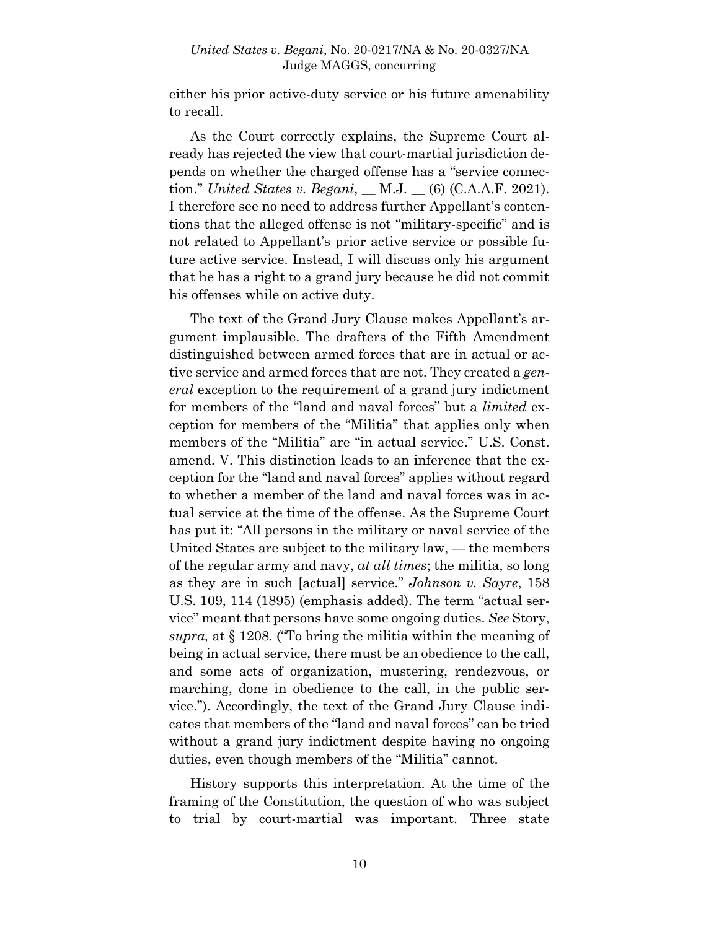either his prior active-duty service or his future amenability to recall.

As the Court correctly explains, the Supreme Court already has rejected the view that court-martial jurisdiction depends on whether the charged offense has a "service connection." *United States v. Begani*, \_\_ M.J. \_\_ (6) (C.A.A.F. 2021). I therefore see no need to address further Appellant's contentions that the alleged offense is not "military-specific" and is not related to Appellant's prior active service or possible future active service. Instead, I will discuss only his argument that he has a right to a grand jury because he did not commit his offenses while on active duty.

The text of the Grand Jury Clause makes Appellant's argument implausible. The drafters of the Fifth Amendment distinguished between armed forces that are in actual or active service and armed forces that are not. They created a *general* exception to the requirement of a grand jury indictment for members of the "land and naval forces" but a *limited* exception for members of the "Militia" that applies only when members of the "Militia" are "in actual service." U.S. Const. amend. V. This distinction leads to an inference that the exception for the "land and naval forces" applies without regard to whether a member of the land and naval forces was in actual service at the time of the offense. As the Supreme Court has put it: "All persons in the military or naval service of the United States are subject to the military law, — the members of the regular army and navy, *at all times*; the militia, so long as they are in such [actual] service." *Johnson v. Sayre*, 158 U.S. 109, 114 (1895) (emphasis added). The term "actual service" meant that persons have some ongoing duties. *See* Story, *supra,* at § 1208. ("To bring the militia within the meaning of being in actual service, there must be an obedience to the call, and some acts of organization, mustering, rendezvous, or marching, done in obedience to the call, in the public service."). Accordingly, the text of the Grand Jury Clause indicates that members of the "land and naval forces" can be tried without a grand jury indictment despite having no ongoing duties, even though members of the "Militia" cannot.

History supports this interpretation. At the time of the framing of the Constitution, the question of who was subject to trial by court-martial was important. Three state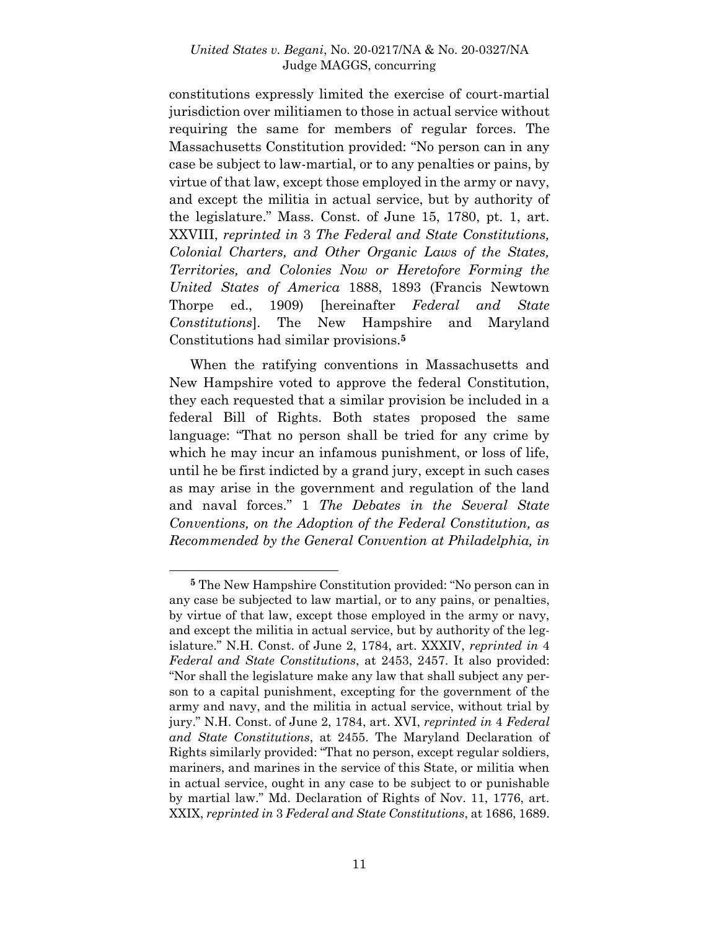constitutions expressly limited the exercise of court-martial jurisdiction over militiamen to those in actual service without requiring the same for members of regular forces. The Massachusetts Constitution provided: "No person can in any case be subject to law-martial, or to any penalties or pains, by virtue of that law, except those employed in the army or navy, and except the militia in actual service, but by authority of the legislature." Mass. Const. of June 15, 1780, pt. 1, art. XXVIII, *reprinted in* 3 *The Federal and State Constitutions, Colonial Charters, and Other Organic Laws of the States, Territories, and Colonies Now or Heretofore Forming the United States of America* 1888, 1893 (Francis Newtown Thorpe ed., 1909) [hereinafter *Federal and State Constitutions*]. The New Hampshire and Maryland Constitutions had similar provisions.**<sup>5</sup>**

When the ratifying conventions in Massachusetts and New Hampshire voted to approve the federal Constitution, they each requested that a similar provision be included in a federal Bill of Rights. Both states proposed the same language: "That no person shall be tried for any crime by which he may incur an infamous punishment, or loss of life, until he be first indicted by a grand jury, except in such cases as may arise in the government and regulation of the land and naval forces." 1 *The Debates in the Several State Conventions, on the Adoption of the Federal Constitution, as Recommended by the General Convention at Philadelphia, in* 

l

**<sup>5</sup>** The New Hampshire Constitution provided: "No person can in any case be subjected to law martial, or to any pains, or penalties, by virtue of that law, except those employed in the army or navy, and except the militia in actual service, but by authority of the legislature." N.H. Const. of June 2, 1784, art. XXXIV, *reprinted in* 4 *Federal and State Constitutions*, at 2453, 2457. It also provided: "Nor shall the legislature make any law that shall subject any person to a capital punishment, excepting for the government of the army and navy, and the militia in actual service, without trial by jury." N.H. Const. of June 2, 1784, art. XVI, *reprinted in* 4 *Federal and State Constitutions*, at 2455. The Maryland Declaration of Rights similarly provided: "That no person, except regular soldiers, mariners, and marines in the service of this State, or militia when in actual service, ought in any case to be subject to or punishable by martial law." Md. Declaration of Rights of Nov. 11, 1776, art. XXIX, *reprinted in* 3 *Federal and State Constitutions*, at 1686, 1689.